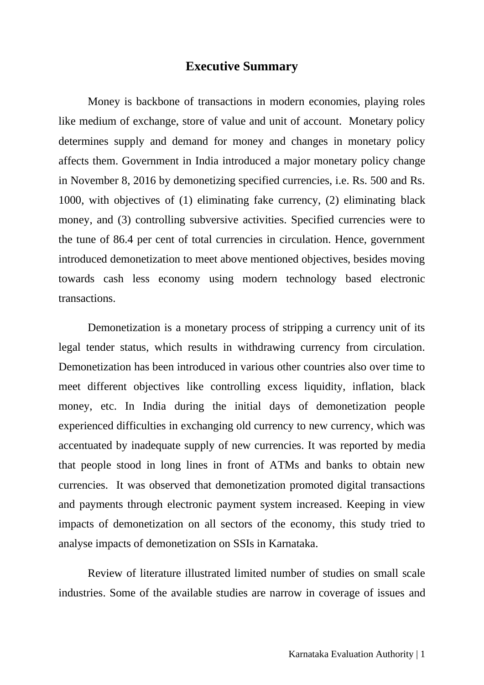## **Executive Summary**

Money is backbone of transactions in modern economies, playing roles like medium of exchange, store of value and unit of account. Monetary policy determines supply and demand for money and changes in monetary policy affects them. Government in India introduced a major monetary policy change in November 8, 2016 by demonetizing specified currencies, i.e. Rs. 500 and Rs. 1000, with objectives of (1) eliminating fake currency, (2) eliminating black money, and (3) controlling subversive activities. Specified currencies were to the tune of 86.4 per cent of total currencies in circulation. Hence, government introduced demonetization to meet above mentioned objectives, besides moving towards cash less economy using modern technology based electronic transactions.

Demonetization is a monetary process of stripping a currency unit of its legal tender status, which results in withdrawing currency from circulation. Demonetization has been introduced in various other countries also over time to meet different objectives like controlling excess liquidity, inflation, black money, etc. In India during the initial days of demonetization people experienced difficulties in exchanging old currency to new currency, which was accentuated by inadequate supply of new currencies. It was reported by media that people stood in long lines in front of ATMs and banks to obtain new currencies. It was observed that demonetization promoted digital transactions and payments through electronic payment system increased. Keeping in view impacts of demonetization on all sectors of the economy, this study tried to analyse impacts of demonetization on SSIs in Karnataka.

Review of literature illustrated limited number of studies on small scale industries. Some of the available studies are narrow in coverage of issues and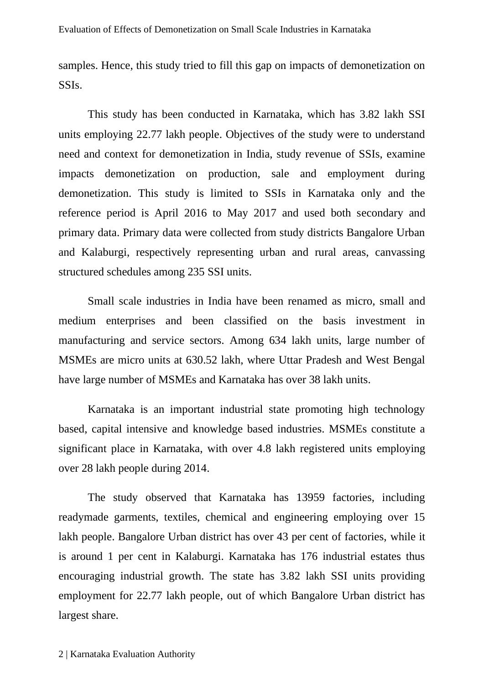samples. Hence, this study tried to fill this gap on impacts of demonetization on SSIs.

This study has been conducted in Karnataka, which has 3.82 lakh SSI units employing 22.77 lakh people. Objectives of the study were to understand need and context for demonetization in India, study revenue of SSIs, examine impacts demonetization on production, sale and employment during demonetization. This study is limited to SSIs in Karnataka only and the reference period is April 2016 to May 2017 and used both secondary and primary data. Primary data were collected from study districts Bangalore Urban and Kalaburgi, respectively representing urban and rural areas, canvassing structured schedules among 235 SSI units.

Small scale industries in India have been renamed as micro, small and medium enterprises and been classified on the basis investment in manufacturing and service sectors. Among 634 lakh units, large number of MSMEs are micro units at 630.52 lakh, where Uttar Pradesh and West Bengal have large number of MSMEs and Karnataka has over 38 lakh units.

Karnataka is an important industrial state promoting high technology based, capital intensive and knowledge based industries. MSMEs constitute a significant place in Karnataka, with over 4.8 lakh registered units employing over 28 lakh people during 2014.

The study observed that Karnataka has 13959 factories, including readymade garments, textiles, chemical and engineering employing over 15 lakh people. Bangalore Urban district has over 43 per cent of factories, while it is around 1 per cent in Kalaburgi. Karnataka has 176 industrial estates thus encouraging industrial growth. The state has 3.82 lakh SSI units providing employment for 22.77 lakh people, out of which Bangalore Urban district has largest share.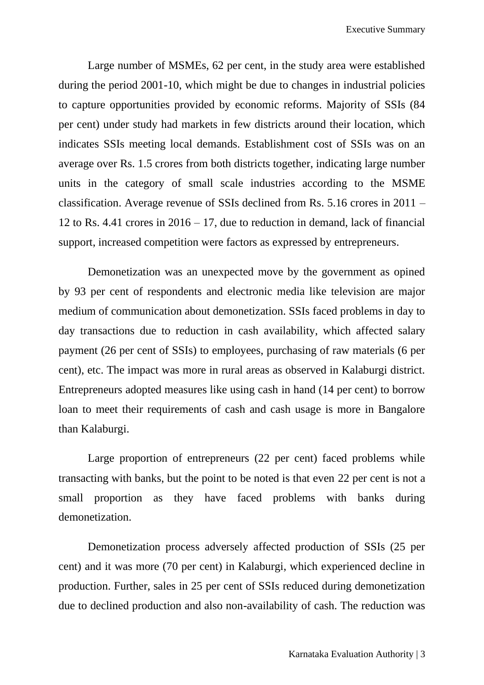Large number of MSMEs, 62 per cent, in the study area were established during the period 2001-10, which might be due to changes in industrial policies to capture opportunities provided by economic reforms. Majority of SSIs (84 per cent) under study had markets in few districts around their location, which indicates SSIs meeting local demands. Establishment cost of SSIs was on an average over Rs. 1.5 crores from both districts together, indicating large number units in the category of small scale industries according to the MSME classification. Average revenue of SSIs declined from Rs. 5.16 crores in 2011 – 12 to Rs. 4.41 crores in  $2016 - 17$ , due to reduction in demand, lack of financial support, increased competition were factors as expressed by entrepreneurs.

Demonetization was an unexpected move by the government as opined by 93 per cent of respondents and electronic media like television are major medium of communication about demonetization. SSIs faced problems in day to day transactions due to reduction in cash availability, which affected salary payment (26 per cent of SSIs) to employees, purchasing of raw materials (6 per cent), etc. The impact was more in rural areas as observed in Kalaburgi district. Entrepreneurs adopted measures like using cash in hand (14 per cent) to borrow loan to meet their requirements of cash and cash usage is more in Bangalore than Kalaburgi.

Large proportion of entrepreneurs (22 per cent) faced problems while transacting with banks, but the point to be noted is that even 22 per cent is not a small proportion as they have faced problems with banks during demonetization.

Demonetization process adversely affected production of SSIs (25 per cent) and it was more (70 per cent) in Kalaburgi, which experienced decline in production. Further, sales in 25 per cent of SSIs reduced during demonetization due to declined production and also non-availability of cash. The reduction was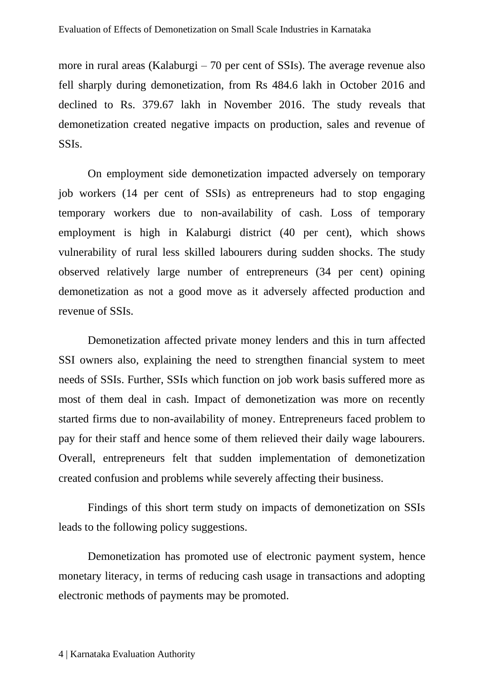more in rural areas (Kalaburgi – 70 per cent of SSIs). The average revenue also fell sharply during demonetization, from Rs 484.6 lakh in October 2016 and declined to Rs. 379.67 lakh in November 2016. The study reveals that demonetization created negative impacts on production, sales and revenue of SSIs.

On employment side demonetization impacted adversely on temporary job workers (14 per cent of SSIs) as entrepreneurs had to stop engaging temporary workers due to non-availability of cash. Loss of temporary employment is high in Kalaburgi district (40 per cent), which shows vulnerability of rural less skilled labourers during sudden shocks. The study observed relatively large number of entrepreneurs (34 per cent) opining demonetization as not a good move as it adversely affected production and revenue of SSIs.

Demonetization affected private money lenders and this in turn affected SSI owners also, explaining the need to strengthen financial system to meet needs of SSIs. Further, SSIs which function on job work basis suffered more as most of them deal in cash. Impact of demonetization was more on recently started firms due to non-availability of money. Entrepreneurs faced problem to pay for their staff and hence some of them relieved their daily wage labourers. Overall, entrepreneurs felt that sudden implementation of demonetization created confusion and problems while severely affecting their business.

Findings of this short term study on impacts of demonetization on SSIs leads to the following policy suggestions.

Demonetization has promoted use of electronic payment system, hence monetary literacy, in terms of reducing cash usage in transactions and adopting electronic methods of payments may be promoted.